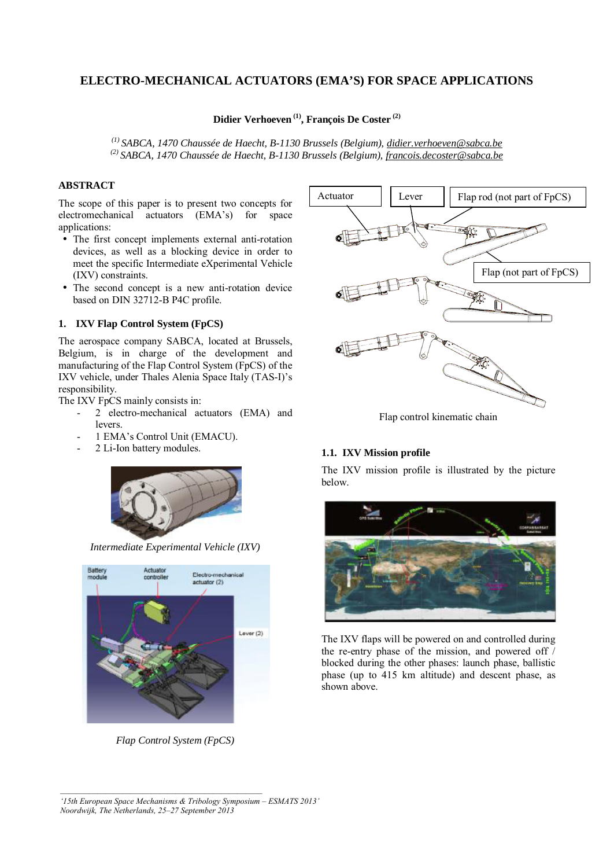# **ELECTRO-MECHANICAL ACTUATORS (EMA'S) FOR SPACE APPLICATIONS**

# **Didier Verhoeven (1) , François De Coster (2)**

*(1) SABCA, 1470 Chaussée de Haecht, B-1130 Brussels (Belgium), [didier.verhoeven@sabca.be](mailto:didier.verhoeven@sabca.be) (2) SABCA, 1470 Chaussée de Haecht, B-1130 Brussels (Belgium), [francois.decoster@sabca.be](mailto:francois.decoster@sabca.be)*

# **ABSTRACT**

The scope of this paper is to present two concepts for electromechanical actuators (EMA's) for space applications:

- The first concept implements external anti-rotation devices, as well as a blocking device in order to meet the specific Intermediate eXperimental Vehicle (IXV) constraints.
- The second concept is a new anti-rotation device based on DIN 32712-B P4C profile.

## **1. IXV Flap Control System (FpCS)**

The aerospace company SABCA, located at Brussels, Belgium, is in charge of the development and manufacturing of the Flap Control System (FpCS) of the IXV vehicle, under Thales Alenia Space Italy (TAS-I)'s responsibility.

The IXV FpCS mainly consists in:

- 2 electro-mechanical actuators (EMA) and levers.
- 1 EMA's Control Unit (EMACU).
- 2 Li-Ion battery modules.



*Intermediate Experimental Vehicle (IXV)* 



*Flap Control System (FpCS)* 



Flap control kinematic chain

# **1.1. IXV Mission profile**

The IXV mission profile is illustrated by the picture below.



The IXV flaps will be powered on and controlled during the re-entry phase of the mission, and powered off / blocked during the other phases: launch phase, ballistic phase (up to 415 km altitude) and descent phase, as shown above.

*<sup>&#</sup>x27;15th European Space Mechanisms & Tribology Symposium – ESMATS 2013' Noordwijk, The Netherlands, 25–27 September 2013*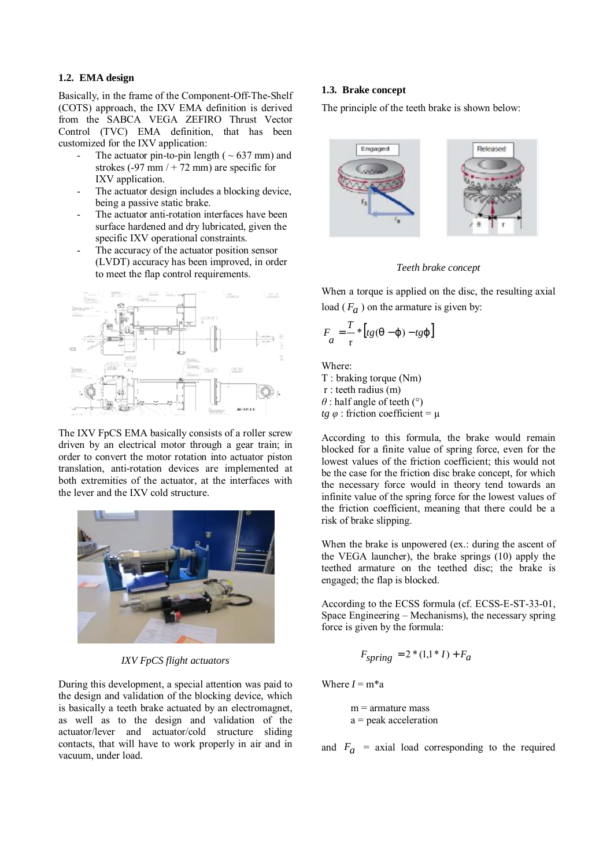#### **1.2. EMA design**

Basically, in the frame of the Component-Off-The-Shelf (COTS) approach, the IXV EMA definition is derived from the SABCA VEGA ZEFIRO Thrust Vector Control (TVC) EMA definition, that has been customized for the IXV application:

- The actuator pin-to-pin length ( $\sim 637$  mm) and strokes (-97 mm  $/ + 72$  mm) are specific for IXV application.
- The actuator design includes a blocking device. being a passive static brake.
- The actuator anti-rotation interfaces have been surface hardened and dry lubricated, given the specific IXV operational constraints.
- The accuracy of the actuator position sensor (LVDT) accuracy has been improved, in order to meet the flap control requirements.



The IXV FpCS EMA basically consists of a roller screw driven by an electrical motor through a gear train; in order to convert the motor rotation into actuator piston translation, anti-rotation devices are implemented at both extremities of the actuator, at the interfaces with the lever and the IXV cold structure.



*IXV FpCS flight actuators* 

During this development, a special attention was paid to the design and validation of the blocking device, which is basically a teeth brake actuated by an electromagnet, as well as to the design and validation of the actuator/lever and actuator/cold structure sliding contacts, that will have to work properly in air and in vacuum, under load.

#### **1.3. Brake concept**

The principle of the teeth brake is shown below:



*Teeth brake concept* 

When a torque is applied on the disc, the resulting axial load ( $F_a$ ) on the armature is given by:

$$
F_a = \frac{T}{r} * [tg(q-j) - tgj]
$$

Where: T : braking torque (Nm) r : teeth radius (m) *θ* : half angle of teeth (°)

 $tg \varphi$ : friction coefficient =  $\mu$ 

According to this formula, the brake would remain blocked for a finite value of spring force, even for the lowest values of the friction coefficient; this would not be the case for the friction disc brake concept, for which the necessary force would in theory tend towards an infinite value of the spring force for the lowest values of the friction coefficient, meaning that there could be a risk of brake slipping.

When the brake is unpowered (ex.: during the ascent of the VEGA launcher), the brake springs (10) apply the teethed armature on the teethed disc; the brake is engaged; the flap is blocked.

According to the ECSS formula (cf. ECSS-E-ST-33-01, Space Engineering – Mechanisms), the necessary spring force is given by the formula:

$$
F_{spring} = 2*(1,1*I) + F_a
$$

Where  $I = m^*a$ 

 $m =$ armature mass a = peak acceleration

and  $F_a$  = axial load corresponding to the required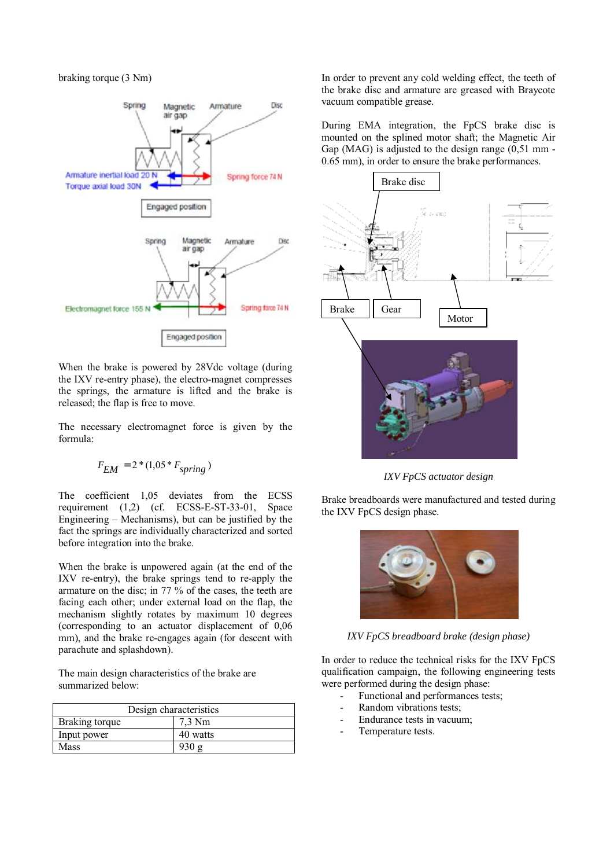braking torque (3 Nm)



When the brake is powered by 28Vdc voltage (during) the IXV re-entry phase), the electro-magnet compresses the springs, the armature is lifted and the brake is released; the flap is free to move.

The necessary electromagnet force is given by the formula:

$$
F_{EM} = 2*(1.05*F_{spring})
$$

The coefficient 1,05 deviates from the ECSS requirement (1,2) (cf. ECSS-E-ST-33-01, Space Engineering – Mechanisms), but can be justified by the fact the springs are individually characterized and sorted before integration into the brake.

When the brake is unpowered again (at the end of the IXV re-entry), the brake springs tend to re-apply the armature on the disc; in 77 % of the cases, the teeth are facing each other; under external load on the flap, the mechanism slightly rotates by maximum 10 degrees (corresponding to an actuator displacement of 0,06 mm), and the brake re-engages again (for descent with parachute and splashdown).

The main design characteristics of the brake are summarized below:

| Design characteristics |                  |
|------------------------|------------------|
| Braking torque         | $7.3 \text{ Nm}$ |
| Input power            | 40 watts         |
| Mass                   | 930 $\sigma$     |

In order to prevent any cold welding effect, the teeth of the brake disc and armature are greased with Braycote vacuum compatible grease.

During EMA integration, the FpCS brake disc is mounted on the splined motor shaft; the Magnetic Air Gap (MAG) is adjusted to the design range (0,51 mm - 0.65 mm), in order to ensure the brake performances.



*IXV FpCS actuator design* 

Brake breadboards were manufactured and tested during the IXV FpCS design phase.



*IXV FpCS breadboard brake (design phase)* 

In order to reduce the technical risks for the IXV FpCS qualification campaign, the following engineering tests were performed during the design phase:

- Functional and performances tests;
- Random vibrations tests;
- Endurance tests in vacuum;
- Temperature tests.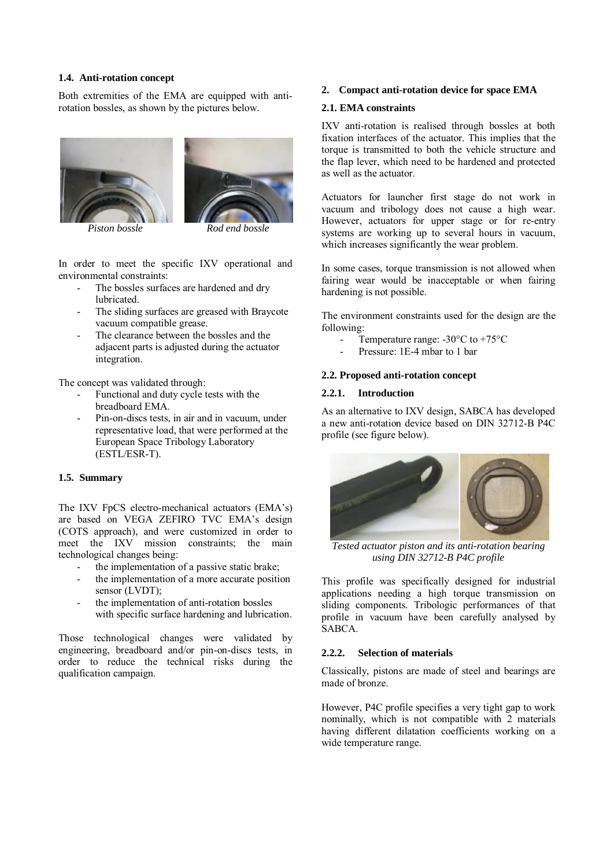#### **1.4. Anti-rotation concept**

Both extremities of the EMA are equipped with antirotation bossles, as shown by the pictures below.





*Piston bossle Rod end bossle* 

In order to meet the specific IXV operational and environmental constraints:

- The bossles surfaces are hardened and dry lubricated.
- The sliding surfaces are greased with Braycote vacuum compatible grease.
- The clearance between the bossles and the adjacent parts is adjusted during the actuator integration.

The concept was validated through:

- Functional and duty cycle tests with the breadboard EMA.
- Pin-on-discs tests, in air and in vacuum, under representative load, that were performed at the European Space Tribology Laboratory (ESTL/ESR-T).

#### **1.5. Summary**

The IXV FpCS electro-mechanical actuators (EMA's) are based on VEGA ZEFIRO TVC EMA's design (COTS approach), and were customized in order to meet the IXV mission constraints; the main technological changes being:

- the implementation of a passive static brake;
- the implementation of a more accurate position sensor (LVDT);
- the implementation of anti-rotation bossles with specific surface hardening and lubrication.

Those technological changes were validated by engineering, breadboard and/or pin-on-discs tests, in order to reduce the technical risks during the qualification campaign.

#### **2. Compact anti-rotation device for space EMA**

#### **2.1. EMA constraints**

IXV anti-rotation is realised through bossles at both fixation interfaces of the actuator. This implies that the torque is transmitted to both the vehicle structure and the flap lever, which need to be hardened and protected as well as the actuator.

Actuators for launcher first stage do not work in vacuum and tribology does not cause a high wear. However, actuators for upper stage or for re-entry systems are working up to several hours in vacuum, which increases significantly the wear problem.

In some cases, torque transmission is not allowed when fairing wear would be inacceptable or when fairing hardening is not possible.

The environment constraints used for the design are the following:

- Temperature range:  $-30^{\circ}$ C to  $+75^{\circ}$ C
- Pressure: 1E-4 mbar to 1 bar

#### **2.2. Proposed anti-rotation concept**

#### **2.2.1. Introduction**

As an alternative to IXV design, SABCA has developed a new anti-rotation device based on DIN 32712-B P4C profile (see figure below).



*Tested actuator piston and its anti-rotation bearing using DIN 32712-B P4C profile* 

This profile was specifically designed for industrial applications needing a high torque transmission on sliding components. Tribologic performances of that profile in vacuum have been carefully analysed by SABCA.

#### **2.2.2. Selection of materials**

Classically, pistons are made of steel and bearings are made of bronze.

However, P4C profile specifies a very tight gap to work nominally, which is not compatible with 2 materials having different dilatation coefficients working on a wide temperature range.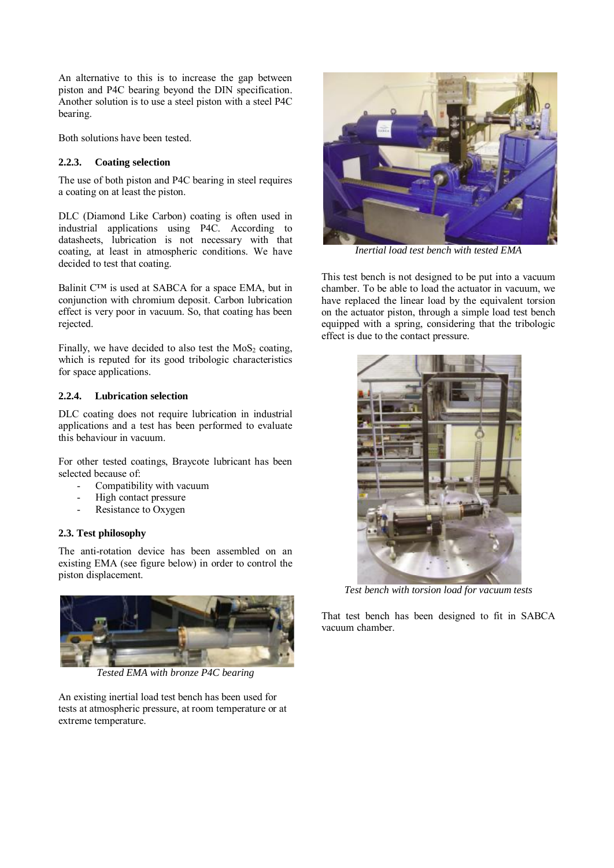An alternative to this is to increase the gap between piston and P4C bearing beyond the DIN specification. Another solution is to use a steel piston with a steel P4C bearing.

Both solutions have been tested.

# **2.2.3. Coating selection**

The use of both piston and P4C bearing in steel requires a coating on at least the piston.

DLC (Diamond Like Carbon) coating is often used in industrial applications using P4C. According to datasheets, lubrication is not necessary with that coating, at least in atmospheric conditions. We have decided to test that coating.

Balinit C™ is used at SABCA for a space EMA, but in conjunction with chromium deposit. Carbon lubrication effect is very poor in vacuum. So, that coating has been rejected.

Finally, we have decided to also test the  $MoS<sub>2</sub>$  coating, which is reputed for its good tribologic characteristics for space applications.

# **2.2.4. Lubrication selection**

DLC coating does not require lubrication in industrial applications and a test has been performed to evaluate this behaviour in vacuum.

For other tested coatings, Braycote lubricant has been selected because of:

- Compatibility with vacuum
- High contact pressure
- Resistance to Oxygen

# **2.3. Test philosophy**

The anti-rotation device has been assembled on an existing EMA (see figure below) in order to control the piston displacement.



*Tested EMA with bronze P4C bearing* 

An existing inertial load test bench has been used for tests at atmospheric pressure, at room temperature or at extreme temperature.



*Inertial load test bench with tested EMA* 

This test bench is not designed to be put into a vacuum chamber. To be able to load the actuator in vacuum, we have replaced the linear load by the equivalent torsion on the actuator piston, through a simple load test bench equipped with a spring, considering that the tribologic effect is due to the contact pressure.



*Test bench with torsion load for vacuum tests*

That test bench has been designed to fit in SABCA vacuum chamber.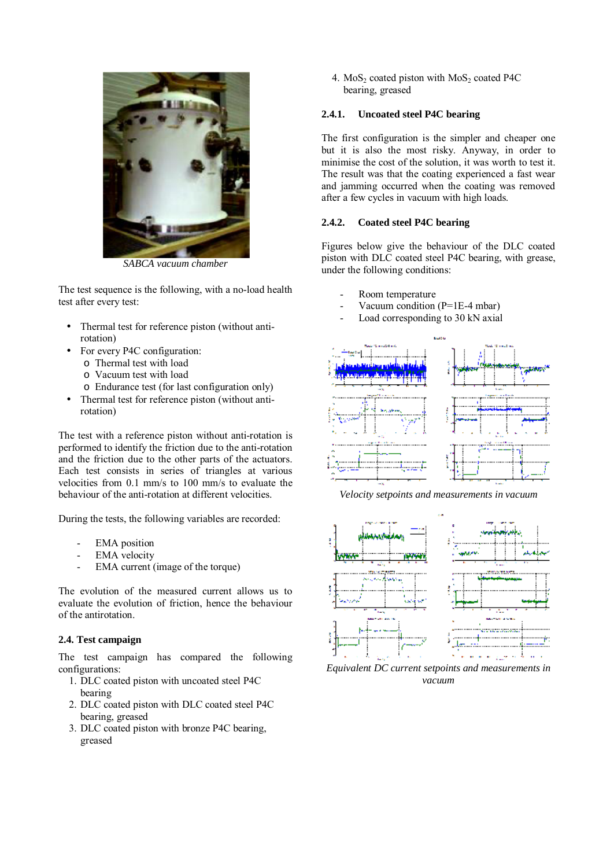

*SABCA vacuum chamber* 

The test sequence is the following, with a no-load health test after every test:

- Thermal test for reference piston (without antirotation)
- For every P4C configuration:
	- o Thermal test with load
	- o Vacuum test with load
	- o Endurance test (for last configuration only)
- Thermal test for reference piston (without antirotation)

The test with a reference piston without anti-rotation is performed to identify the friction due to the anti-rotation and the friction due to the other parts of the actuators. Each test consists in series of triangles at various velocities from 0.1 mm/s to 100 mm/s to evaluate the behaviour of the anti-rotation at different velocities.

During the tests, the following variables are recorded:

- EMA position
- EMA velocity
- EMA current (image of the torque)

The evolution of the measured current allows us to evaluate the evolution of friction, hence the behaviour of the antirotation.

# **2.4. Test campaign**

The test campaign has compared the following configurations:

- 1. DLC coated piston with uncoated steel P4C bearing
- 2. DLC coated piston with DLC coated steel P4C bearing, greased
- 3. DLC coated piston with bronze P4C bearing, greased

4. MoS<sub>2</sub> coated piston with MoS<sub>2</sub> coated P4C bearing, greased

# **2.4.1. Uncoated steel P4C bearing**

The first configuration is the simpler and cheaper one but it is also the most risky. Anyway, in order to minimise the cost of the solution, it was worth to test it. The result was that the coating experienced a fast wear and jamming occurred when the coating was removed after a few cycles in vacuum with high loads.

# **2.4.2. Coated steel P4C bearing**

Figures below give the behaviour of the DLC coated piston with DLC coated steel P4C bearing, with grease, under the following conditions:

- Room temperature
- Vacuum condition (P=1E-4 mbar)
- Load corresponding to 30 kN axial



*Velocity setpoints and measurements in vacuum* 



*Equivalent DC current setpoints and measurements in vacuum*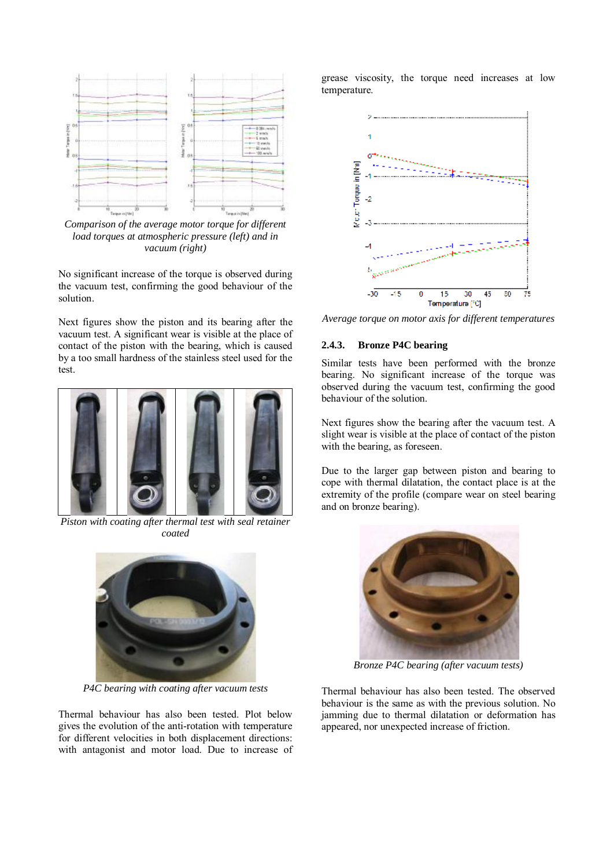

*Comparison of the average motor torque for different load torques at atmospheric pressure (left) and in vacuum (right)* 

No significant increase of the torque is observed during the vacuum test, confirming the good behaviour of the solution.

Next figures show the piston and its bearing after the vacuum test. A significant wear is visible at the place of contact of the piston with the bearing, which is caused by a too small hardness of the stainless steel used for the test.



*Piston with coating after thermal test with seal retainer coated* 



*P4C bearing with coating after vacuum tests* 

Thermal behaviour has also been tested. Plot below gives the evolution of the anti-rotation with temperature for different velocities in both displacement directions: with antagonist and motor load. Due to increase of grease viscosity, the torque need increases at low temperature.



*Average torque on motor axis for different temperatures*

#### **2.4.3. Bronze P4C bearing**

Similar tests have been performed with the bronze bearing. No significant increase of the torque was observed during the vacuum test, confirming the good behaviour of the solution.

Next figures show the bearing after the vacuum test. A slight wear is visible at the place of contact of the piston with the bearing, as foreseen.

Due to the larger gap between piston and bearing to cope with thermal dilatation, the contact place is at the extremity of the profile (compare wear on steel bearing and on bronze bearing).



*Bronze P4C bearing (after vacuum tests)* 

Thermal behaviour has also been tested. The observed behaviour is the same as with the previous solution. No jamming due to thermal dilatation or deformation has appeared, nor unexpected increase of friction.